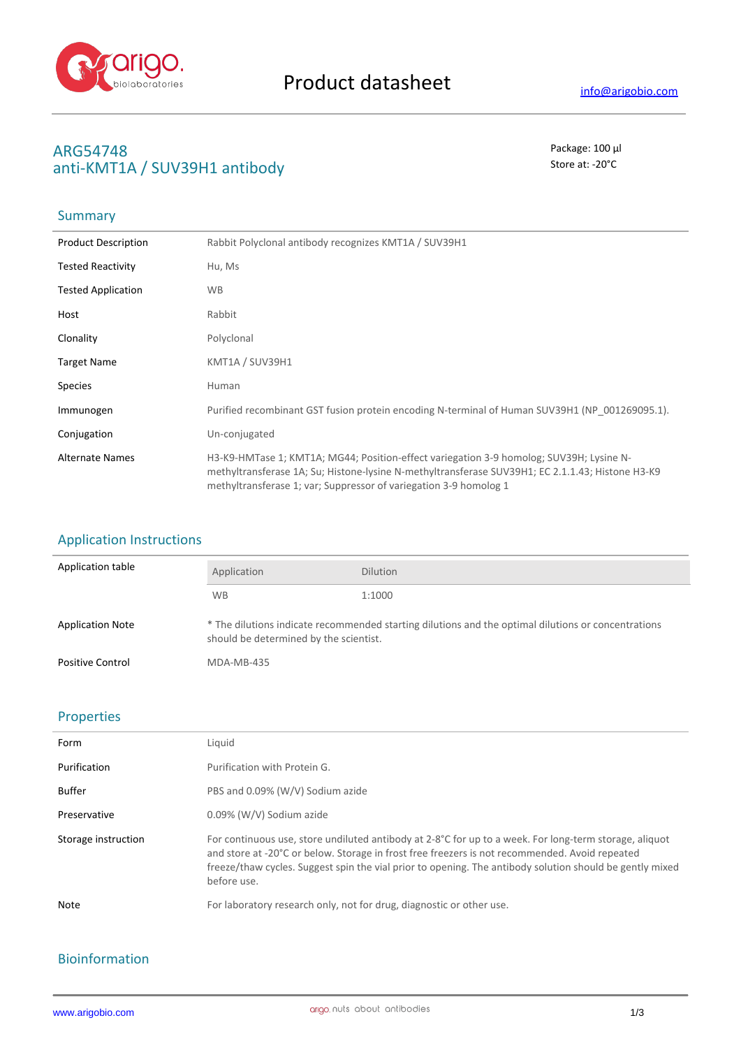

# **ARG54748** Package: 100 μl<br>
anti-ΚΝΑΤΊΛ / SLIV2ΩΗ1 antibody anti-KMT1A / SUV39H1 antibody

### **Summary**

| <b>Product Description</b> | Rabbit Polyclonal antibody recognizes KMT1A / SUV39H1                                                                                                                                                                                                            |
|----------------------------|------------------------------------------------------------------------------------------------------------------------------------------------------------------------------------------------------------------------------------------------------------------|
| <b>Tested Reactivity</b>   | Hu, Ms                                                                                                                                                                                                                                                           |
| <b>Tested Application</b>  | <b>WB</b>                                                                                                                                                                                                                                                        |
| Host                       | Rabbit                                                                                                                                                                                                                                                           |
| Clonality                  | Polyclonal                                                                                                                                                                                                                                                       |
| <b>Target Name</b>         | KMT1A / SUV39H1                                                                                                                                                                                                                                                  |
| <b>Species</b>             | Human                                                                                                                                                                                                                                                            |
| Immunogen                  | Purified recombinant GST fusion protein encoding N-terminal of Human SUV39H1 (NP 001269095.1).                                                                                                                                                                   |
| Conjugation                | Un-conjugated                                                                                                                                                                                                                                                    |
| <b>Alternate Names</b>     | H3-K9-HMTase 1; KMT1A; MG44; Position-effect variegation 3-9 homolog; SUV39H; Lysine N-<br>methyltransferase 1A; Su; Histone-lysine N-methyltransferase SUV39H1; EC 2.1.1.43; Histone H3-K9<br>methyltransferase 1; var; Suppressor of variegation 3-9 homolog 1 |

## Application Instructions

| Application table       | Application                                                                                                                                   | <b>Dilution</b> |
|-------------------------|-----------------------------------------------------------------------------------------------------------------------------------------------|-----------------|
|                         | <b>WB</b>                                                                                                                                     | 1:1000          |
| <b>Application Note</b> | * The dilutions indicate recommended starting dilutions and the optimal dilutions or concentrations<br>should be determined by the scientist. |                 |
| <b>Positive Control</b> | MDA-MB-435                                                                                                                                    |                 |

#### Properties

| Form                | Liquid                                                                                                                                                                                                                                                                                                                                       |
|---------------------|----------------------------------------------------------------------------------------------------------------------------------------------------------------------------------------------------------------------------------------------------------------------------------------------------------------------------------------------|
| Purification        | Purification with Protein G.                                                                                                                                                                                                                                                                                                                 |
| Buffer              | PBS and 0.09% (W/V) Sodium azide                                                                                                                                                                                                                                                                                                             |
| Preservative        | 0.09% (W/V) Sodium azide                                                                                                                                                                                                                                                                                                                     |
| Storage instruction | For continuous use, store undiluted antibody at $2-8^{\circ}C$ for up to a week. For long-term storage, aliquot<br>and store at -20°C or below. Storage in frost free freezers is not recommended. Avoid repeated<br>freeze/thaw cycles. Suggest spin the vial prior to opening. The antibody solution should be gently mixed<br>before use. |
| Note                | For laboratory research only, not for drug, diagnostic or other use.                                                                                                                                                                                                                                                                         |

## Bioinformation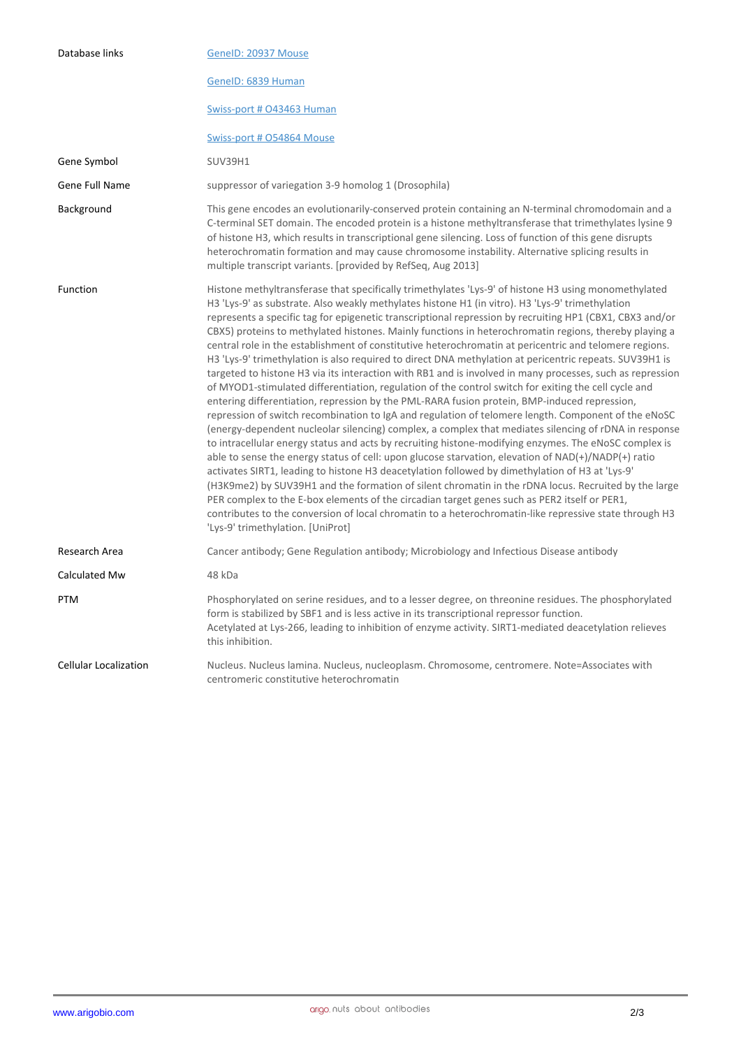| Database links               | GeneID: 20937 Mouse                                                                                                                                                                                                                                                                                                                                                                                                                                                                                                                                                                                                                                                                                                                                                                                                                                                                                                                                                                                                                                                                                                                                                                                                                                                                                                                                                                                                                                                                                                                                                                                                                                                                                                                                                                                                                                               |
|------------------------------|-------------------------------------------------------------------------------------------------------------------------------------------------------------------------------------------------------------------------------------------------------------------------------------------------------------------------------------------------------------------------------------------------------------------------------------------------------------------------------------------------------------------------------------------------------------------------------------------------------------------------------------------------------------------------------------------------------------------------------------------------------------------------------------------------------------------------------------------------------------------------------------------------------------------------------------------------------------------------------------------------------------------------------------------------------------------------------------------------------------------------------------------------------------------------------------------------------------------------------------------------------------------------------------------------------------------------------------------------------------------------------------------------------------------------------------------------------------------------------------------------------------------------------------------------------------------------------------------------------------------------------------------------------------------------------------------------------------------------------------------------------------------------------------------------------------------------------------------------------------------|
|                              | GenelD: 6839 Human                                                                                                                                                                                                                                                                                                                                                                                                                                                                                                                                                                                                                                                                                                                                                                                                                                                                                                                                                                                                                                                                                                                                                                                                                                                                                                                                                                                                                                                                                                                                                                                                                                                                                                                                                                                                                                                |
|                              | Swiss-port # 043463 Human                                                                                                                                                                                                                                                                                                                                                                                                                                                                                                                                                                                                                                                                                                                                                                                                                                                                                                                                                                                                                                                                                                                                                                                                                                                                                                                                                                                                                                                                                                                                                                                                                                                                                                                                                                                                                                         |
|                              | Swiss-port # 054864 Mouse                                                                                                                                                                                                                                                                                                                                                                                                                                                                                                                                                                                                                                                                                                                                                                                                                                                                                                                                                                                                                                                                                                                                                                                                                                                                                                                                                                                                                                                                                                                                                                                                                                                                                                                                                                                                                                         |
| Gene Symbol                  | <b>SUV39H1</b>                                                                                                                                                                                                                                                                                                                                                                                                                                                                                                                                                                                                                                                                                                                                                                                                                                                                                                                                                                                                                                                                                                                                                                                                                                                                                                                                                                                                                                                                                                                                                                                                                                                                                                                                                                                                                                                    |
| Gene Full Name               | suppressor of variegation 3-9 homolog 1 (Drosophila)                                                                                                                                                                                                                                                                                                                                                                                                                                                                                                                                                                                                                                                                                                                                                                                                                                                                                                                                                                                                                                                                                                                                                                                                                                                                                                                                                                                                                                                                                                                                                                                                                                                                                                                                                                                                              |
| Background                   | This gene encodes an evolutionarily-conserved protein containing an N-terminal chromodomain and a<br>C-terminal SET domain. The encoded protein is a histone methyltransferase that trimethylates lysine 9<br>of histone H3, which results in transcriptional gene silencing. Loss of function of this gene disrupts<br>heterochromatin formation and may cause chromosome instability. Alternative splicing results in<br>multiple transcript variants. [provided by RefSeq, Aug 2013]                                                                                                                                                                                                                                                                                                                                                                                                                                                                                                                                                                                                                                                                                                                                                                                                                                                                                                                                                                                                                                                                                                                                                                                                                                                                                                                                                                           |
| Function                     | Histone methyltransferase that specifically trimethylates 'Lys-9' of histone H3 using monomethylated<br>H3 'Lys-9' as substrate. Also weakly methylates histone H1 (in vitro). H3 'Lys-9' trimethylation<br>represents a specific tag for epigenetic transcriptional repression by recruiting HP1 (CBX1, CBX3 and/or<br>CBX5) proteins to methylated histones. Mainly functions in heterochromatin regions, thereby playing a<br>central role in the establishment of constitutive heterochromatin at pericentric and telomere regions.<br>H3 'Lys-9' trimethylation is also required to direct DNA methylation at pericentric repeats. SUV39H1 is<br>targeted to histone H3 via its interaction with RB1 and is involved in many processes, such as repression<br>of MYOD1-stimulated differentiation, regulation of the control switch for exiting the cell cycle and<br>entering differentiation, repression by the PML-RARA fusion protein, BMP-induced repression,<br>repression of switch recombination to IgA and regulation of telomere length. Component of the eNoSC<br>(energy-dependent nucleolar silencing) complex, a complex that mediates silencing of rDNA in response<br>to intracellular energy status and acts by recruiting histone-modifying enzymes. The eNoSC complex is<br>able to sense the energy status of cell: upon glucose starvation, elevation of NAD(+)/NADP(+) ratio<br>activates SIRT1, leading to histone H3 deacetylation followed by dimethylation of H3 at 'Lys-9'<br>(H3K9me2) by SUV39H1 and the formation of silent chromatin in the rDNA locus. Recruited by the large<br>PER complex to the E-box elements of the circadian target genes such as PER2 itself or PER1,<br>contributes to the conversion of local chromatin to a heterochromatin-like repressive state through H3<br>'Lys-9' trimethylation. [UniProt] |
| Research Area                | Cancer antibody; Gene Regulation antibody; Microbiology and Infectious Disease antibody                                                                                                                                                                                                                                                                                                                                                                                                                                                                                                                                                                                                                                                                                                                                                                                                                                                                                                                                                                                                                                                                                                                                                                                                                                                                                                                                                                                                                                                                                                                                                                                                                                                                                                                                                                           |
| Calculated Mw                | 48 kDa                                                                                                                                                                                                                                                                                                                                                                                                                                                                                                                                                                                                                                                                                                                                                                                                                                                                                                                                                                                                                                                                                                                                                                                                                                                                                                                                                                                                                                                                                                                                                                                                                                                                                                                                                                                                                                                            |
| <b>PTM</b>                   | Phosphorylated on serine residues, and to a lesser degree, on threonine residues. The phosphorylated<br>form is stabilized by SBF1 and is less active in its transcriptional repressor function.<br>Acetylated at Lys-266, leading to inhibition of enzyme activity. SIRT1-mediated deacetylation relieves<br>this inhibition.                                                                                                                                                                                                                                                                                                                                                                                                                                                                                                                                                                                                                                                                                                                                                                                                                                                                                                                                                                                                                                                                                                                                                                                                                                                                                                                                                                                                                                                                                                                                    |
| <b>Cellular Localization</b> | Nucleus. Nucleus lamina. Nucleus, nucleoplasm. Chromosome, centromere. Note=Associates with<br>centromeric constitutive heterochromatin                                                                                                                                                                                                                                                                                                                                                                                                                                                                                                                                                                                                                                                                                                                                                                                                                                                                                                                                                                                                                                                                                                                                                                                                                                                                                                                                                                                                                                                                                                                                                                                                                                                                                                                           |